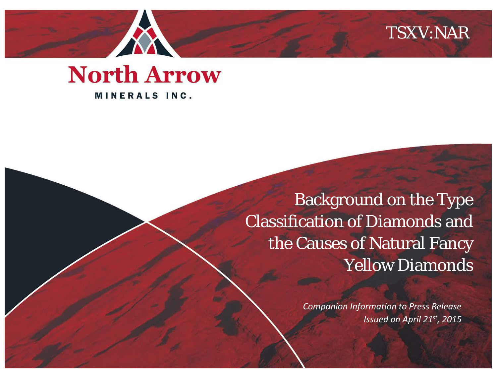## TSXV:NAR



Background on the Type Classification of Diamonds and the Causes of Natural Fancy Yellow Diamonds

> *Companion Information to Press Release Issued on April 21st, 2015*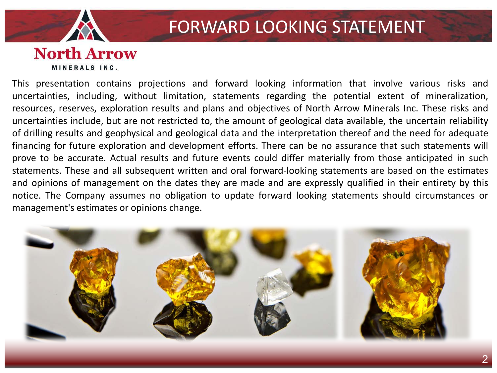

## FORWARD LOOKING STATEMENT

#### **North Arrow** MINERALS INC.

This presentation contains projections and forward looking information that involve various risks and uncertainties, including, without limitation, statements regarding the potential extent of mineralization, resources, reserves, exploration results and plans and objectives of North Arrow Minerals Inc. These risks and uncertainties include, but are not restricted to, the amount of geological data available, the uncertain reliability of drilling results and geophysical and geological data and the interpretation thereof and the need for adequate financing for future exploration and development efforts. There can be no assurance that such statements will prove to be accurate. Actual results and future events could differ materially from those anticipated in such statements. These and all subsequent written and oral forward-looking statements are based on the estimates and opinions of management on the dates they are made and are expressly qualified in their entirety by this notice. The Company assumes no obligation to update forward looking statements should circumstances or management's estimates or opinions change.

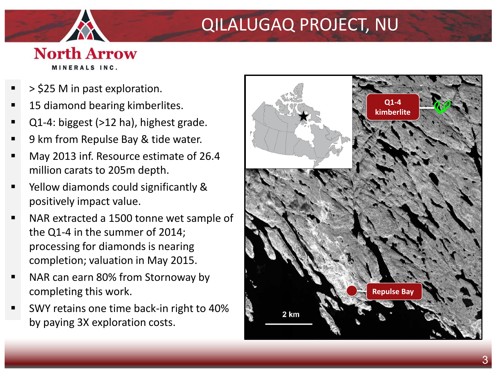## QILALUGAQ PROJECT, NU

- > \$25 M in past exploration.
- 15 diamond bearing kimberlites.
- Q1-4: biggest (>12 ha), highest grade.
- 9 km from Repulse Bay & tide water.
- May 2013 inf. Resource estimate of 26.4 million carats to 205m depth.
- Yellow diamonds could significantly & positively impact value.
- NAR extracted a 1500 tonne wet sample of the Q1-4 in the summer of 2014; processing for diamonds is nearing completion; valuation in May 2015.
- NAR can earn 80% from Stornoway by completing this work.
- SWY retains one time back-in right to 40% by paying 3X exploration costs.

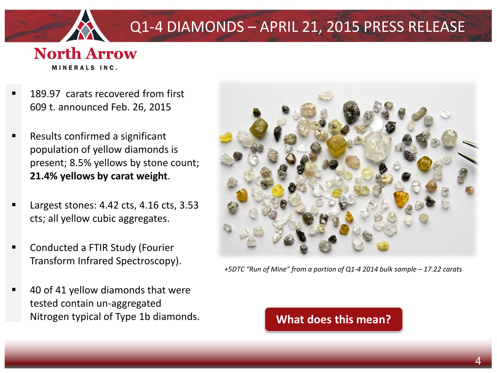

## Q1-4 DIAMONDS – APRIL 21, 2015 PRESS RELEASE

- 189.97 carats recovered from first 609 t. announced Feb. 26, 2015
- Results confirmed a significant population of yellow diamonds is present; 8.5% yellows by stone count; **21.4% yellows by carat weight**.
- Largest stones: 4.42 cts, 4.16 cts, 3.53 cts; all yellow cubic aggregates.
- Conducted a FTIR Study (Fourier Transform Infrared Spectroscopy).
- 40 of 41 yellow diamonds that were tested contain un-aggregated Nitrogen typical of Type 1b diamonds. **What does this mean?**



*+5DTC "Run of Mine" from a portion of Q1-4 2014 bulk sample – 17.22 carats*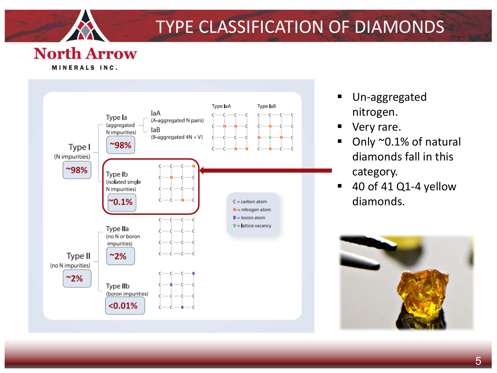

## TYPE CLASSIFICATION OF DIAMONDS



- Un-aggregated nitrogen.
- Very rare.
- Only ~0.1% of natural diamonds fall in this category.
- 40 of 41 Q1-4 yellow diamonds.

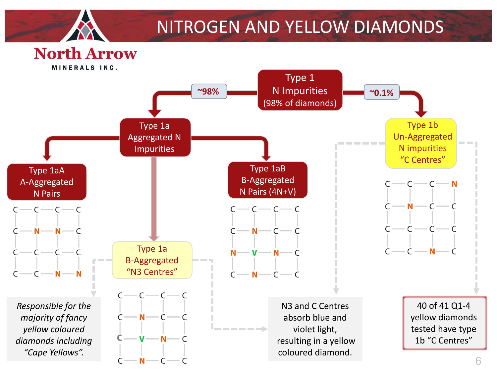

## NITROGEN AND YELLOW DIAMONDS

## **North Arrow**

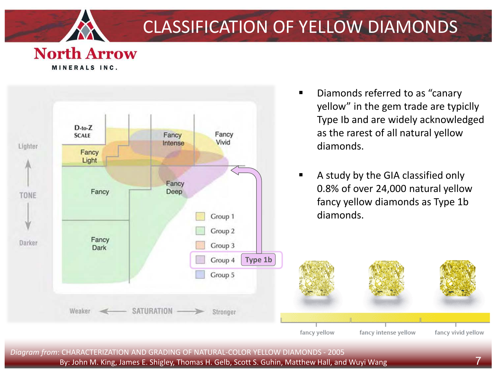

## CLASSIFICATION OF YELLOW DIAMONDS

fancy yellow

#### **North Arrow** MINERALS INC.



- **Diamonds referred to as "canary"** yellow" in the gem trade are typiclly Type Ib and are widely acknowledged as the rarest of all natural yellow
- A study by the GIA classified only 0.8% of over 24,000 natural yellow fancy yellow diamonds as Type 1b

fancy intense yellow

*Diagram from*: CHARACTERIZATION AND GRADING OF NATURAL-COLOR YELLOW DIAMONDS - 2005 By: John M. King, James E. Shigley, Thomas H. Gelb, Scott S. Guhin, Matthew Hall, and Wuyi Wang 7 fancy vivid yellow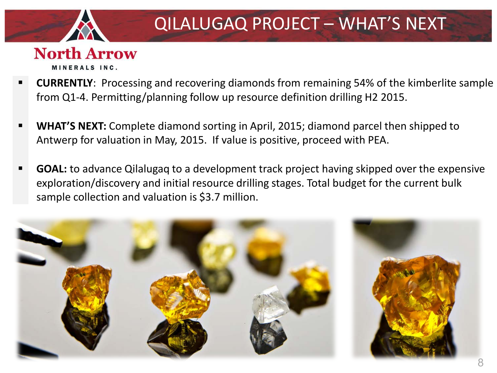

- **CURRENTLY**: Processing and recovering diamonds from remaining 54% of the kimberlite sample from Q1-4. Permitting/planning follow up resource definition drilling H2 2015.
- **WHAT'S NEXT:** Complete diamond sorting in April, 2015; diamond parcel then shipped to Antwerp for valuation in May, 2015. If value is positive, proceed with PEA.
- **GOAL:** to advance Qilalugaq to a development track project having skipped over the expensive exploration/discovery and initial resource drilling stages. Total budget for the current bulk sample collection and valuation is \$3.7 million.